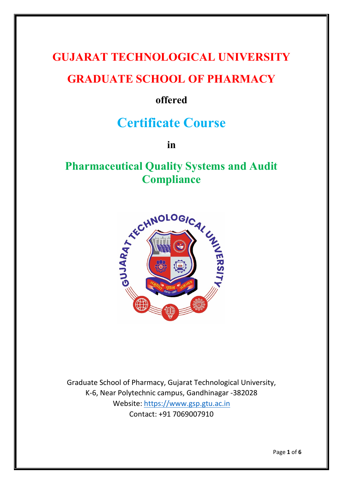# **GUJARAT TECHNOLOGICAL UNIVERSITY**

## **GRADUATE SCHOOL OF PHARMACY**

## **offered**

# **Certificate Course**

**in**

# **Pharmaceutical Quality Systems and Audit Compliance**



Graduate School of Pharmacy, Gujarat Technological University, K-6, Near Polytechnic campus, Gandhinagar -382028 Website: [https://www.gsp.gtu.ac.in](https://www.gsp.gtu.ac.in/) Contact: +91 7069007910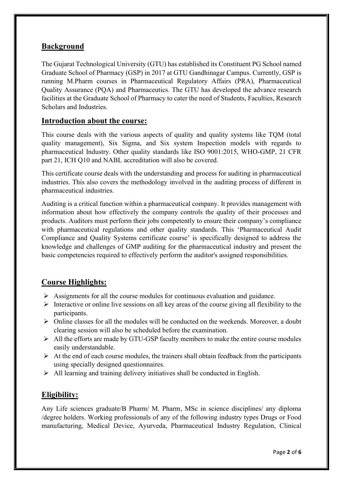#### **Background**

The Gujarat Technological University (GTU) has established its Constituent PG School named Graduate School of Pharmacy (GSP) in 2017 at GTU Gandhinagar Campus. Currently, GSP is running M.Pharm courses in Pharmaceutical Regulatory Affairs (PRA), Pharmaceutical Quality Assurance (PQA) and Pharmaceutics. The GTU has developed the advance research facilities at the Graduate School of Pharmacy to cater the need of Students, Faculties, Research Scholars and Industries.

#### **Introduction about the course:**

This course deals with the various aspects of quality and quality systems like TQM (total quality management), Six Sigma, and Six system Inspection models with regards to pharmaceutical Industry. Other quality standards like ISO 9001:2015, WHO-GMP, 21 CFR part 21, ICH Q10 and NABL accreditation will also be covered.

This certificate course deals with the understanding and process for auditing in pharmaceutical industries. This also covers the methodology involved in the auditing process of different in pharmaceutical industries.

Auditing is a critical function within a pharmaceutical company. It provides management with information about how effectively the company controls the quality of their processes and products. Auditors must perform their jobs competently to ensure their company's compliance with pharmaceutical regulations and other quality standards. This 'Pharmaceutical Audit Compliance and Quality Systems certificate course' is specifically designed to address the knowledge and challenges of GMP auditing for the pharmaceutical industry and present the basic competencies required to effectively perform the auditor's assigned responsibilities.

#### **Course Highlights:**

- $\triangleright$  Assignments for all the course modules for continuous evaluation and guidance.
- $\triangleright$  Interactive or online live sessions on all key areas of the course giving all flexibility to the participants.
- ➢ Online classes for all the modules will be conducted on the weekends. Moreover, a doubt clearing session will also be scheduled before the examination.
- ➢ All the efforts are made by GTU-GSP faculty members to make the entire course modules easily understandable.
- $\triangleright$  At the end of each course modules, the trainers shall obtain feedback from the participants using specially designed questionnaires.
- $\triangleright$  All learning and training delivery initiatives shall be conducted in English.

#### **Eligibility:**

Any Life sciences graduate/B Pharm/ M. Pharm, MSc in science disciplines/ any diploma /degree holders. Working professionals of any of the following industry types Drugs or Food manufacturing, Medical Device, Ayurveda, Pharmaceutical Industry Regulation, Clinical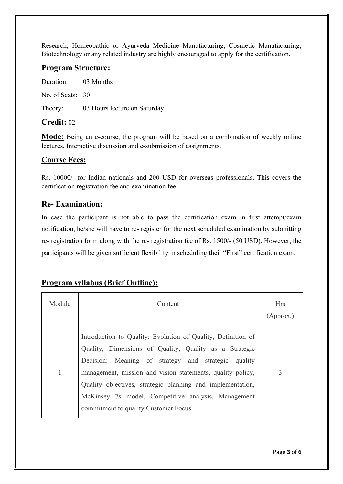Research, Homeopathic or Ayurveda Medicine Manufacturing, Cosmetic Manufacturing, Biotechnology or any related industry are highly encouraged to apply for the certification.

#### **Program Structure:**

Duration: 03 Months No. of Seats: 30 Theory: 03 Hours lecture on Saturday

#### **Credit:** 02

**Mode:** Being an e-course, the program will be based on a combination of weekly online lectures, Interactive discussion and e-submission of assignments.

#### **Course Fees:**

Rs. 10000/- for Indian nationals and 200 USD for overseas professionals. This covers the certification registration fee and examination fee.

#### **Re- Examination:**

In case the participant is not able to pass the certification exam in first attempt/exam notification, he/she will have to re- register for the next scheduled examination by submitting re- registration form along with the re- registration fee of Rs. 1500/- (50 USD). However, the participants will be given sufficient flexibility in scheduling their "First" certification exam.

#### **Program syllabus (Brief Outline):**

| Module | Content                                                                                                                                                                                                                                                                                                                                                                                                  | <b>Hrs</b><br>(Approx.) |
|--------|----------------------------------------------------------------------------------------------------------------------------------------------------------------------------------------------------------------------------------------------------------------------------------------------------------------------------------------------------------------------------------------------------------|-------------------------|
| 1      | Introduction to Quality: Evolution of Quality, Definition of<br>Quality, Dimensions of Quality, Quality as a Strategic<br>Decision: Meaning of strategy and strategic quality<br>management, mission and vision statements, quality policy,<br>Quality objectives, strategic planning and implementation,<br>McKinsey 7s model, Competitive analysis, Management<br>commitment to quality Customer Focus | 3                       |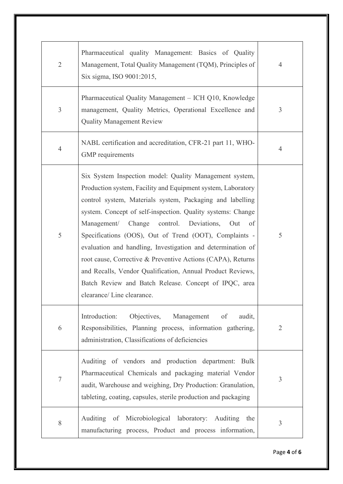| $\overline{2}$ | Pharmaceutical quality Management: Basics of Quality<br>Management, Total Quality Management (TQM), Principles of<br>Six sigma, ISO 9001:2015,                                                                                                                                                                                                                                                                                                                                                                                                                                                                                                              | $\overline{4}$ |
|----------------|-------------------------------------------------------------------------------------------------------------------------------------------------------------------------------------------------------------------------------------------------------------------------------------------------------------------------------------------------------------------------------------------------------------------------------------------------------------------------------------------------------------------------------------------------------------------------------------------------------------------------------------------------------------|----------------|
| $\overline{3}$ | Pharmaceutical Quality Management - ICH Q10, Knowledge<br>management, Quality Metrics, Operational Excellence and<br><b>Quality Management Review</b>                                                                                                                                                                                                                                                                                                                                                                                                                                                                                                       | $\mathfrak{Z}$ |
| $\overline{4}$ | NABL certification and accreditation, CFR-21 part 11, WHO-<br>GMP requirements                                                                                                                                                                                                                                                                                                                                                                                                                                                                                                                                                                              | 4              |
| 5              | Six System Inspection model: Quality Management system,<br>Production system, Facility and Equipment system, Laboratory<br>control system, Materials system, Packaging and labelling<br>system. Concept of self-inspection. Quality systems: Change<br>Change control. Deviations,<br>Management/<br>Out<br>of<br>Specifications (OOS), Out of Trend (OOT), Complaints -<br>evaluation and handling, Investigation and determination of<br>root cause, Corrective & Preventive Actions (CAPA), Returns<br>and Recalls, Vendor Qualification, Annual Product Reviews,<br>Batch Review and Batch Release. Concept of IPQC, area<br>clearance/ Line clearance. | 5              |
| 6              | Objectives,<br>Introduction:<br>Management<br>of<br>audit,<br>Responsibilities, Planning process, information gathering,<br>administration, Classifications of deficiencies                                                                                                                                                                                                                                                                                                                                                                                                                                                                                 | $\overline{2}$ |
| $\tau$         | Auditing of vendors and production department: Bulk<br>Pharmaceutical Chemicals and packaging material Vendor<br>audit, Warehouse and weighing, Dry Production: Granulation,<br>tableting, coating, capsules, sterile production and packaging                                                                                                                                                                                                                                                                                                                                                                                                              | 3              |
| 8              | Auditing of Microbiological laboratory:<br>Auditing<br>the<br>manufacturing process, Product and process information,                                                                                                                                                                                                                                                                                                                                                                                                                                                                                                                                       | 3              |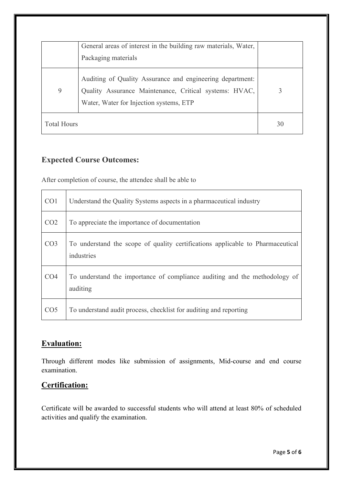|                    | General areas of interest in the building raw materials, Water,<br>Packaging materials                                                                         |    |
|--------------------|----------------------------------------------------------------------------------------------------------------------------------------------------------------|----|
| 9                  | Auditing of Quality Assurance and engineering department:<br>Quality Assurance Maintenance, Critical systems: HVAC,<br>Water, Water for Injection systems, ETP |    |
| <b>Total Hours</b> |                                                                                                                                                                | 30 |

### **Expected Course Outcomes:**

After completion of course, the attendee shall be able to

| CO <sub>1</sub> | Understand the Quality Systems aspects in a pharmaceutical industry                          |
|-----------------|----------------------------------------------------------------------------------------------|
| CO <sub>2</sub> | To appreciate the importance of documentation                                                |
| CO <sub>3</sub> | To understand the scope of quality certifications applicable to Pharmaceutical<br>industries |
| CO <sub>4</sub> | To understand the importance of compliance auditing and the methodology of<br>auditing       |
| CO <sub>5</sub> | To understand audit process, checklist for auditing and reporting                            |

### **Evaluation:**

Through different modes like submission of assignments, Mid-course and end course examination.

## **Certification:**

Certificate will be awarded to successful students who will attend at least 80% of scheduled activities and qualify the examination.